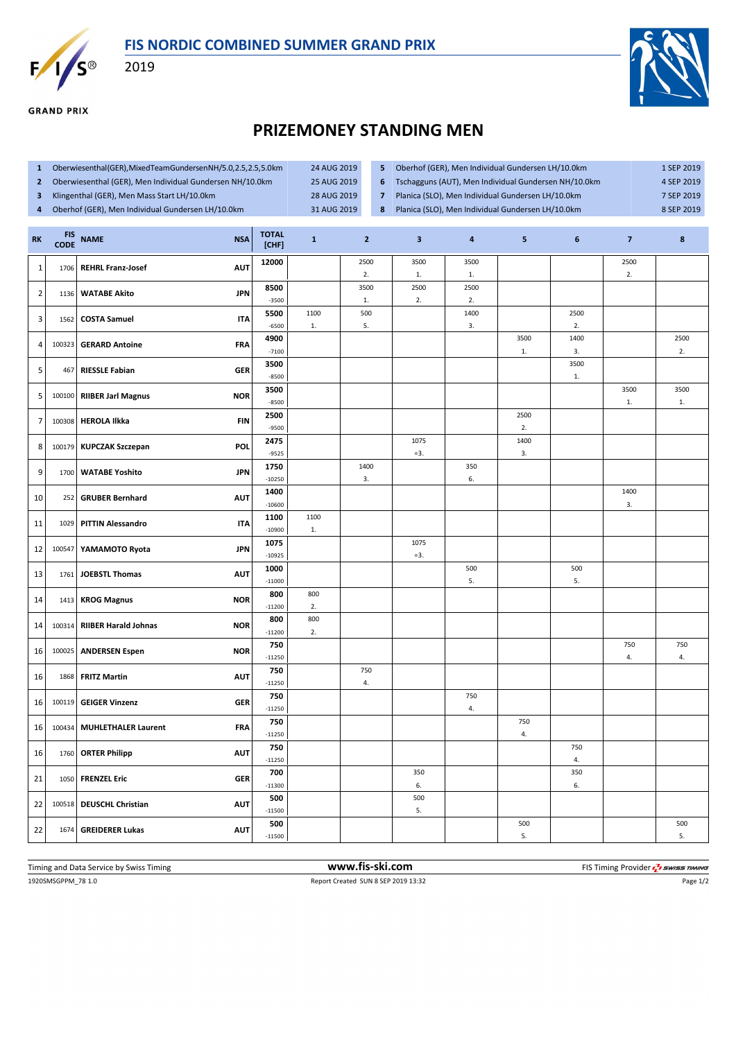

**GRAND PRIX** 

2019



## **PRIZEMONEY STANDING MEN**

- **1** Oberwiesenthal (GER), Mixed Team Gundersen NH/5.0, 2.5, 2.5, 5.0 km 24 AUG 2019
- **2** Oberwiesenthal (GER), Men Individual Gundersen NH/10.0km 25 AUG 2019
- **3** Klingenthal (GER), Men Mass Start LH/10.0km 28 AUG 2019 **4** Oberhof (GER), Men Individual Gundersen LH/10.0km 31 AUG 2019
- **5** Oberhof (GER), Men Individual Gundersen LH/10.0km 1 SEP 2019 **6** Tschagguns (AUT), Men Individual Gundersen NH/10.0km 4 SEP 2019 **7** Planica (SLO), Men Individual Gundersen LH/10.0km 7 SEP 2019 8 Planica (SLO), Men Individual Gundersen LH/10.0km 8 SEP 2019

| <b>RK</b>      | <b>FIS</b><br><b>CODE</b> | <b>NAME</b><br><b>NSA</b>                 | <b>TOTAL</b><br>[CHF] | $\mathbf{1}$ | $\overline{2}$ | $\overline{\mathbf{3}}$ | 4                      | 5                  | 6          | $\overline{7}$ | 8          |
|----------------|---------------------------|-------------------------------------------|-----------------------|--------------|----------------|-------------------------|------------------------|--------------------|------------|----------------|------------|
| $\mathbf{1}$   | 1706                      | <b>REHRL Franz-Josef</b><br><b>AUT</b>    | 12000                 |              | 2500<br>2.     | 3500<br>$1.$            | 3500<br>$\mathbf{1}$ . |                    |            | 2500<br>2.     |            |
| $\overline{2}$ | 1136                      | <b>WATABE Akito</b><br><b>JPN</b>         | 8500<br>$-3500$       |              | 3500<br>$1.$   | 2500<br>2.              | 2500<br>2.             |                    |            |                |            |
| 3              | 1562                      | <b>COSTA Samuel</b><br><b>ITA</b>         | 5500                  | 1100         | 500            |                         | 1400                   |                    | 2500       |                |            |
|                |                           |                                           | $-6500$               | $1.$         | 5.             |                         | 3.                     |                    | 2.         |                |            |
| 4              | 100323                    | <b>GERARD Antoine</b><br><b>FRA</b>       | 4900<br>$-7100$       |              |                |                         |                        | 3500<br>${\bf 1}.$ | 1400<br>3. |                | 2500<br>2. |
| 5              | 467                       | <b>RIESSLE Fabian</b><br><b>GER</b>       | 3500<br>$-8500$       |              |                |                         |                        |                    | 3500<br>1. |                |            |
| 5              | 100100                    | <b>NOR</b><br><b>RIIBER Jarl Magnus</b>   | 3500<br>$-8500$       |              |                |                         |                        |                    |            | 3500<br>1.     | 3500<br>1. |
|                |                           |                                           | 2500                  |              |                |                         |                        | 2500               |            |                |            |
| $\overline{7}$ | 100308                    | <b>FIN</b><br><b>HEROLA Ilkka</b>         | $-9500$               |              |                |                         |                        | 2.                 |            |                |            |
| 8              |                           | POL<br>100179 KUPCZAK Szczepan            | 2475<br>$-9525$       |              |                | 1075<br>$=3.$           |                        | 1400<br>3.         |            |                |            |
| 9              | 1700                      | <b>JPN</b><br><b>WATABE Yoshito</b>       | 1750                  |              | 1400           |                         | 350                    |                    |            |                |            |
|                |                           |                                           | $-10250$              |              | 3.             |                         | 6.                     |                    |            |                |            |
| 10             | 252                       | <b>GRUBER Bernhard</b><br><b>AUT</b>      | 1400<br>$-10600$      |              |                |                         |                        |                    |            | 1400<br>3.     |            |
| 11             | 1029                      | <b>PITTIN Alessandro</b><br><b>ITA</b>    | 1100                  | 1100         |                |                         |                        |                    |            |                |            |
|                |                           |                                           | $-10900$<br>1075      | $1.$         |                | 1075                    |                        |                    |            |                |            |
| 12             | 100547                    | <b>JPN</b><br>YAMAMOTO Ryota              | $-10925$              |              |                | $= 3.$                  |                        |                    |            |                |            |
| 13             | 1761                      | <b>JOEBSTL Thomas</b><br><b>AUT</b>       | 1000<br>$-11000$      |              |                |                         | 500<br>5.              |                    | 500<br>5.  |                |            |
| 14             | 1413                      | <b>NOR</b><br><b>KROG Magnus</b>          | 800<br>$-11200$       | 800<br>2.    |                |                         |                        |                    |            |                |            |
|                |                           |                                           | 800                   | 800          |                |                         |                        |                    |            |                |            |
| 14             | 100314                    | <b>RIIBER Harald Johnas</b><br><b>NOR</b> | $-11200$              | 2.           |                |                         |                        |                    |            |                |            |
| 16             | 100025                    | <b>ANDERSEN Espen</b><br><b>NOR</b>       | 750<br>$-11250$       |              |                |                         |                        |                    |            | 750<br>4.      | 750<br>4.  |
| 16             | 1868                      | <b>FRITZ Martin</b><br><b>AUT</b>         | 750                   |              | 750            |                         |                        |                    |            |                |            |
|                |                           |                                           | $-11250$<br>750       |              | 4.             |                         | 750                    |                    |            |                |            |
| 16             | 100119                    | <b>GER</b><br><b>GEIGER Vinzenz</b>       | $-11250$              |              |                |                         | 4.                     |                    |            |                |            |
| 16             | 100434                    | <b>FRA</b><br><b>MUHLETHALER Laurent</b>  | 750<br>$-11250$       |              |                |                         |                        | 750<br>4.          |            |                |            |
| 16             | 1760                      | <b>AUT</b><br><b>ORTER Philipp</b>        | 750<br>$-11250$       |              |                |                         |                        |                    | 750<br>4.  |                |            |
|                |                           |                                           | 700                   |              |                | 350                     |                        |                    | 350        |                |            |
| 21             | 1050                      | <b>FRENZEL Eric</b><br><b>GER</b>         | $-11300$              |              |                | 6.                      |                        |                    | 6.         |                |            |
| 22             | 100518                    | <b>DEUSCHL Christian</b><br><b>AUT</b>    | 500<br>$-11500$       |              |                | 500<br>5.               |                        |                    |            |                |            |
| 22             | 1674                      | <b>AUT</b><br><b>GREIDERER Lukas</b>      | 500<br>$-11500$       |              |                |                         |                        | 500<br>5.          |            |                | 500<br>5.  |
|                |                           |                                           |                       |              |                |                         |                        |                    |            |                |            |

1920SMSGPPM\_78 1.0 Report Created SUN 8 SEP 2019 13:32 Page 1/2 Timing and Data Service by Swiss Timing **www.fis-ski.com www.fis-ski.com** FIS Timing Provider  $\frac{7}{2}$  swiss Timing